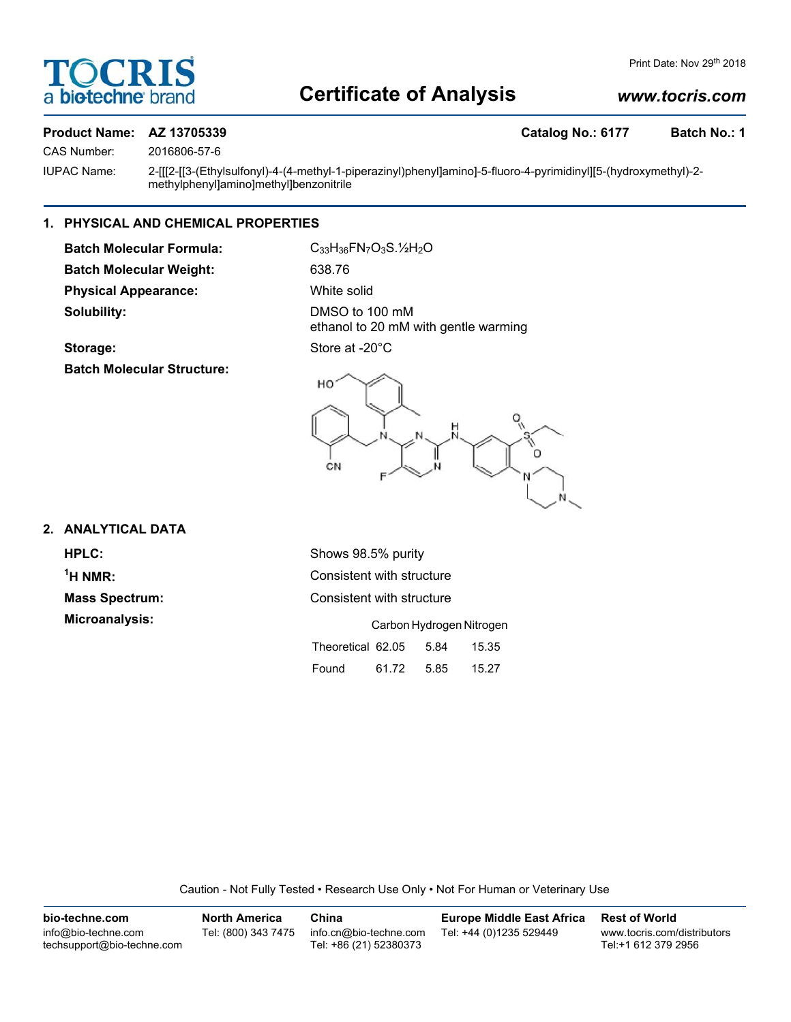

# **Certificate of Analysis**

# *www.tocris.com*

# CAS Number: 2016806-57-6

# **Product Name: AZ 13705339 Catalog No.: 6177 Batch No.: 1**

IUPAC Name: 2-[[[2-[[3-(Ethylsulfonyl)-4-(4-methyl-1-piperazinyl)phenyl]amino]-5-fluoro-4-pyrimidinyl][5-(hydroxymethyl)-2 methylphenyl]amino]methyl]benzonitrile

## **1. PHYSICAL AND CHEMICAL PROPERTIES**

**Batch Molecular Formula:** C<sub>33</sub>H<sub>36</sub>FN<sub>7</sub>O<sub>3</sub>S.<sup>1</sup>/<sub>2</sub>O **Batch Molecular Weight:** 638.76 **Physical Appearance:** White solid **Solubility:** DMSO to 100 mM

ethanol to 20 mM with gentle warming

# Storage: Store at -20°C

**Batch Molecular Structure:**



## **2. ANALYTICAL DATA**

 $<sup>1</sup>H NMR$ :</sup>

**HPLC:** Shows 98.5% purity **Consistent with structure Mass Spectrum:** Consistent with structure **Microanalysis:** Carbon Hydrogen Nitrogen Theoretical 62.05 5.84 15.35 Found 61.72 5.85 15.27

Caution - Not Fully Tested • Research Use Only • Not For Human or Veterinary Use

| bio-techne.com                                    | <b>North America</b> | China                                            | <b>Europe Middle East Africa</b> | <b>Rest of World</b>                               |
|---------------------------------------------------|----------------------|--------------------------------------------------|----------------------------------|----------------------------------------------------|
| info@bio-techne.com<br>techsupport@bio-techne.com | Tel: (800) 343 7475  | info.cn@bio-techne.com<br>Tel: +86 (21) 52380373 | Tel: +44 (0)1235 529449          | www.tocris.com/distributors<br>Tel:+1 612 379 2956 |